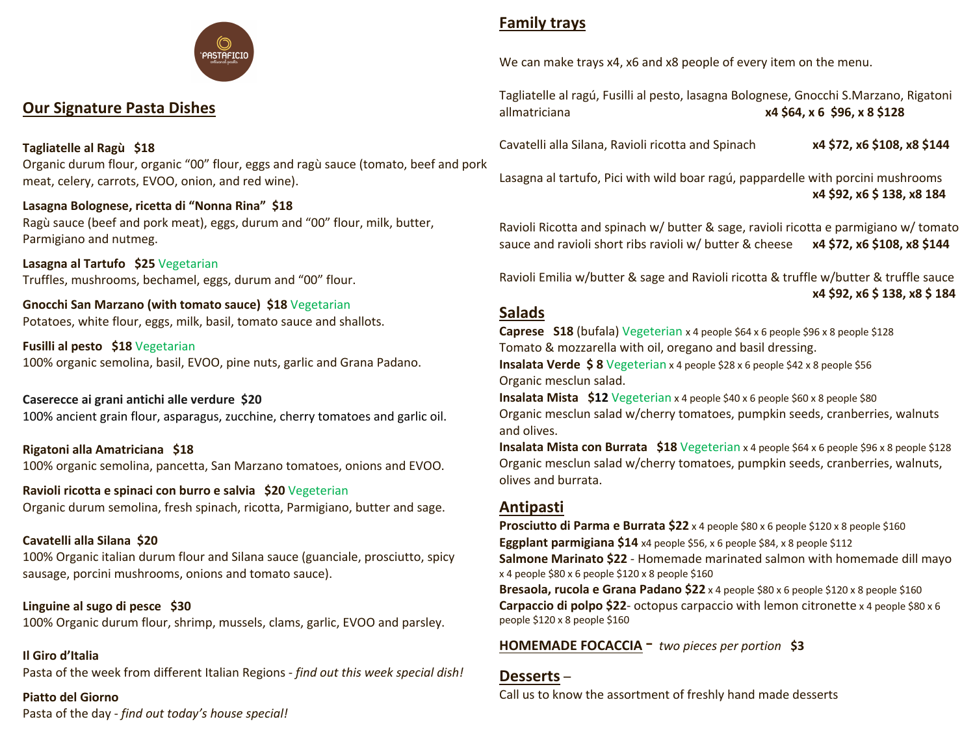

# **Our Signature Pasta Dishes**

### **Tagliatelle al Ragù \$18**

Organic durum flour, organic "00" flour, eggs and ragù sauce (tomato, beef and pork meat, celery, carrots, EVOO, onion, and red wine).

### **Lasagna Bolognese, ricetta di "Nonna Rina" \$18**

Ragù sauce (beef and pork meat), eggs, durum and "00" flour, milk, butter, Parmigiano and nutmeg.

**Lasagna al Tartufo \$25** Vegetarian Truffles, mushrooms, bechamel, eggs, durum and "00" flour.

**Gnocchi San Marzano (with tomato sauce) \$18** Vegetarian Potatoes, white flour, eggs, milk, basil, tomato sauce and shallots.

**Fusilli al pesto \$18** Vegetarian 100% organic semolina, basil, EVOO, pine nuts, garlic and Grana Padano.

**Caserecce ai grani antichi alle verdure \$20** 100% ancient grain flour, asparagus, zucchine, cherry tomatoes and garlic oil.

**Rigatoni alla Amatriciana \$18** 100% organic semolina, pancetta, San Marzano tomatoes, onions and EVOO.

**Ravioli ricotta e spinaci con burro e salvia \$20** Vegeterian Organic durum semolina, fresh spinach, ricotta, Parmigiano, butter and sage.

#### **Cavatelli alla Silana \$20**

100% Organic italian durum flour and Silana sauce (guanciale, prosciutto, spicy sausage, porcini mushrooms, onions and tomato sauce).

**Linguine al sugo di pesce \$30** 100% Organic durum flour, shrimp, mussels, clams, garlic, EVOO and parsley.

#### **Il Giro d'Italia**

Pasta of the week from different Italian Regions - *find out this week special dish!*

#### **Piatto del Giorno**

Pasta of the day - *find out today's house special!*

# **Family trays**

We can make trays x4, x6 and x8 people of every item on the menu.

Tagliatelle al ragú, Fusilli al pesto, lasagna Bolognese, Gnocchi S.Marzano, Rigatoni allmatriciana **x4 \$64, x 6 \$96, x 8 \$128**

Cavatelli alla Silana, Ravioli ricotta and Spinach **x4 \$72, x6 \$108, x8 \$144**

Lasagna al tartufo, Pici with wild boar ragú, pappardelle with porcini mushrooms **x4 \$92, x6 \$ 138, x8 184**

Ravioli Ricotta and spinach w/ butter & sage, ravioli ricotta e parmigiano w/ tomato sauce and ravioli short ribs ravioli w/ butter & cheese **x4 \$72, x6 \$108, x8 \$144**

Ravioli Emilia w/butter & sage and Ravioli ricotta & truffle w/butter & truffle sauce **x4 \$92, x6 \$ 138, x8 \$ 184**

### **Salads**

**Caprese S18** (bufala) Vegeterian x 4 people \$64 x 6 people \$96 x 8 people \$128 Tomato & mozzarella with oil, oregano and basil dressing.

**Insalata Verde \$ 8** Vegeterian x 4 people \$28 x 6 people \$42 x 8 people \$56 Organic mesclun salad.

**Insalata Mista \$12** Vegeterian x 4 people \$40 x 6 people \$60 x 8 people \$80 Organic mesclun salad w/cherry tomatoes, pumpkin seeds, cranberries, walnuts and olives.

**Insalata Mista con Burrata \$18** Vegeterian x 4 people \$64 x 6 people \$96 x 8 people \$128 Organic mesclun salad w/cherry tomatoes, pumpkin seeds, cranberries, walnuts, olives and burrata.

## **Antipasti**

**Prosciutto di Parma e Burrata \$22** x 4 people \$80 x 6 people \$120 x 8 people \$160 **Eggplant parmigiana \$14** x4 people \$56, x 6 people \$84, x 8 people \$112 **Salmone Marinato \$22** - Homemade marinated salmon with homemade dill mayo x 4 people \$80 x 6 people \$120 x 8 people \$160 **Bresaola, rucola e Grana Padano \$22** x 4 people \$80 x 6 people \$120 x 8 people \$160 **Carpaccio di polpo \$22**- octopus carpaccio with lemon citronette x 4 people \$80 x 6 people \$120 x 8 people \$160

**HOMEMADE FOCACCIA** - *two pieces per portion* **\$3**

#### **Desserts** –

Call us to know the assortment of freshly hand made desserts